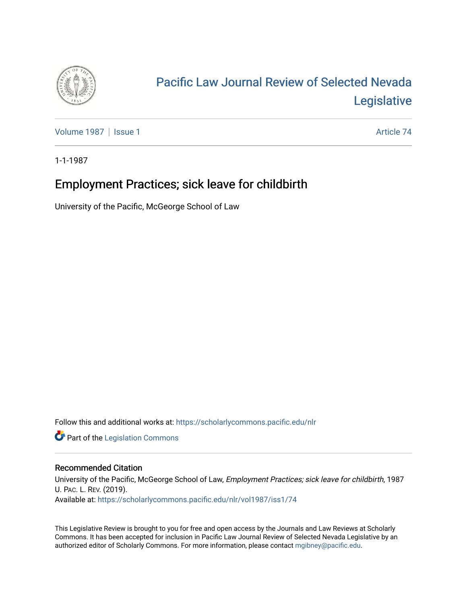

## [Pacific Law Journal Review of Selected Nevada](https://scholarlycommons.pacific.edu/nlr)  [Legislative](https://scholarlycommons.pacific.edu/nlr)

[Volume 1987](https://scholarlycommons.pacific.edu/nlr/vol1987) | [Issue 1](https://scholarlycommons.pacific.edu/nlr/vol1987/iss1) Article 74

1-1-1987

## Employment Practices; sick leave for childbirth

University of the Pacific, McGeorge School of Law

Follow this and additional works at: [https://scholarlycommons.pacific.edu/nlr](https://scholarlycommons.pacific.edu/nlr?utm_source=scholarlycommons.pacific.edu%2Fnlr%2Fvol1987%2Fiss1%2F74&utm_medium=PDF&utm_campaign=PDFCoverPages) 

**Part of the [Legislation Commons](http://network.bepress.com/hgg/discipline/859?utm_source=scholarlycommons.pacific.edu%2Fnlr%2Fvol1987%2Fiss1%2F74&utm_medium=PDF&utm_campaign=PDFCoverPages)** 

## Recommended Citation

University of the Pacific, McGeorge School of Law, Employment Practices; sick leave for childbirth, 1987 U. PAC. L. REV. (2019). Available at: [https://scholarlycommons.pacific.edu/nlr/vol1987/iss1/74](https://scholarlycommons.pacific.edu/nlr/vol1987/iss1/74?utm_source=scholarlycommons.pacific.edu%2Fnlr%2Fvol1987%2Fiss1%2F74&utm_medium=PDF&utm_campaign=PDFCoverPages)

This Legislative Review is brought to you for free and open access by the Journals and Law Reviews at Scholarly Commons. It has been accepted for inclusion in Pacific Law Journal Review of Selected Nevada Legislative by an authorized editor of Scholarly Commons. For more information, please contact [mgibney@pacific.edu](mailto:mgibney@pacific.edu).